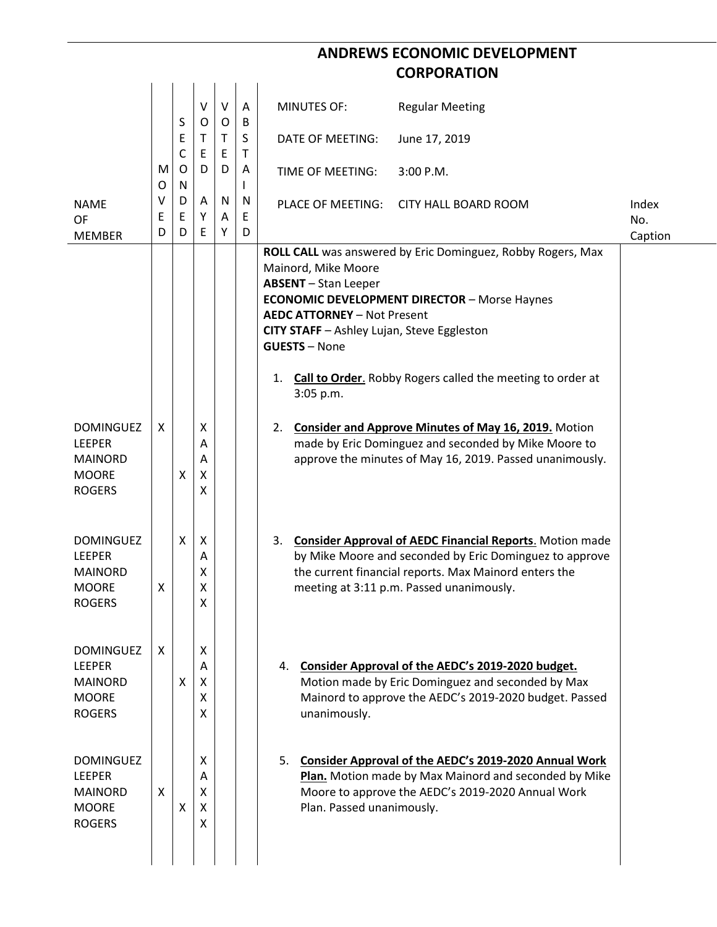## **ANDREWS ECONOMIC DEVELOPMENT CORPORATION**

|                                                                                      | M<br>O      | S<br>Ε<br>C<br>O<br>N | $\vee$<br>O<br>Τ<br>E<br>D | $\vee$<br>O<br>T.<br>E<br>D | A<br>B<br>S<br>T<br>Α | <b>MINUTES OF:</b>                                                                                                                                                                | <b>Regular Meeting</b>                                                                                                                                                                                                          |              |
|--------------------------------------------------------------------------------------|-------------|-----------------------|----------------------------|-----------------------------|-----------------------|-----------------------------------------------------------------------------------------------------------------------------------------------------------------------------------|---------------------------------------------------------------------------------------------------------------------------------------------------------------------------------------------------------------------------------|--------------|
|                                                                                      |             |                       |                            |                             |                       | DATE OF MEETING:                                                                                                                                                                  | June 17, 2019                                                                                                                                                                                                                   |              |
|                                                                                      |             |                       |                            |                             |                       | TIME OF MEETING:                                                                                                                                                                  | 3:00 P.M.                                                                                                                                                                                                                       |              |
| <b>NAME</b><br><b>OF</b><br><b>MEMBER</b>                                            | ٧<br>E<br>D | D<br>E<br>D           | A<br>Y<br>E                | N<br>A<br>Y                 | N<br>E<br>D           | PLACE OF MEETING:                                                                                                                                                                 | <b>CITY HALL BOARD ROOM</b>                                                                                                                                                                                                     | Index<br>No. |
|                                                                                      |             |                       |                            |                             |                       | Mainord, Mike Moore<br><b>ABSENT</b> - Stan Leeper<br><b>AEDC ATTORNEY - Not Present</b><br>CITY STAFF - Ashley Lujan, Steve Eggleston<br><b>GUESTS - None</b><br>1.<br>3:05 p.m. | ROLL CALL was answered by Eric Dominguez, Robby Rogers, Max<br><b>ECONOMIC DEVELOPMENT DIRECTOR - Morse Haynes</b><br>Call to Order. Robby Rogers called the meeting to order at                                                | Caption      |
| <b>DOMINGUEZ</b><br>LEEPER<br><b>MAINORD</b><br><b>MOORE</b><br><b>ROGERS</b>        | X           | X                     | X<br>Α<br>Α<br>X<br>X      |                             |                       | 2.                                                                                                                                                                                | <b>Consider and Approve Minutes of May 16, 2019.</b> Motion<br>made by Eric Dominguez and seconded by Mike Moore to<br>approve the minutes of May 16, 2019. Passed unanimously.                                                 |              |
| <b>DOMINGUEZ</b><br><b>LEEPER</b><br><b>MAINORD</b><br><b>MOORE</b><br><b>ROGERS</b> | X           | X                     | X<br>A<br>X<br>Χ<br>X      |                             |                       | 3.                                                                                                                                                                                | <b>Consider Approval of AEDC Financial Reports.</b> Motion made<br>by Mike Moore and seconded by Eric Dominguez to approve<br>the current financial reports. Max Mainord enters the<br>meeting at 3:11 p.m. Passed unanimously. |              |
| <b>DOMINGUEZ</b><br><b>LEEPER</b><br><b>MAINORD</b><br><b>MOORE</b><br><b>ROGERS</b> | X           | X                     | X<br>A<br>X<br>X<br>X      |                             |                       | unanimously.                                                                                                                                                                      | 4. Consider Approval of the AEDC's 2019-2020 budget.<br>Motion made by Eric Dominguez and seconded by Max<br>Mainord to approve the AEDC's 2019-2020 budget. Passed                                                             |              |
| <b>DOMINGUEZ</b><br><b>LEEPER</b><br><b>MAINORD</b><br><b>MOORE</b><br><b>ROGERS</b> | X           | X                     | X<br>A<br>X<br>X<br>X      |                             |                       | Plan. Passed unanimously.                                                                                                                                                         | 5. Consider Approval of the AEDC's 2019-2020 Annual Work<br>Plan. Motion made by Max Mainord and seconded by Mike<br>Moore to approve the AEDC's 2019-2020 Annual Work                                                          |              |